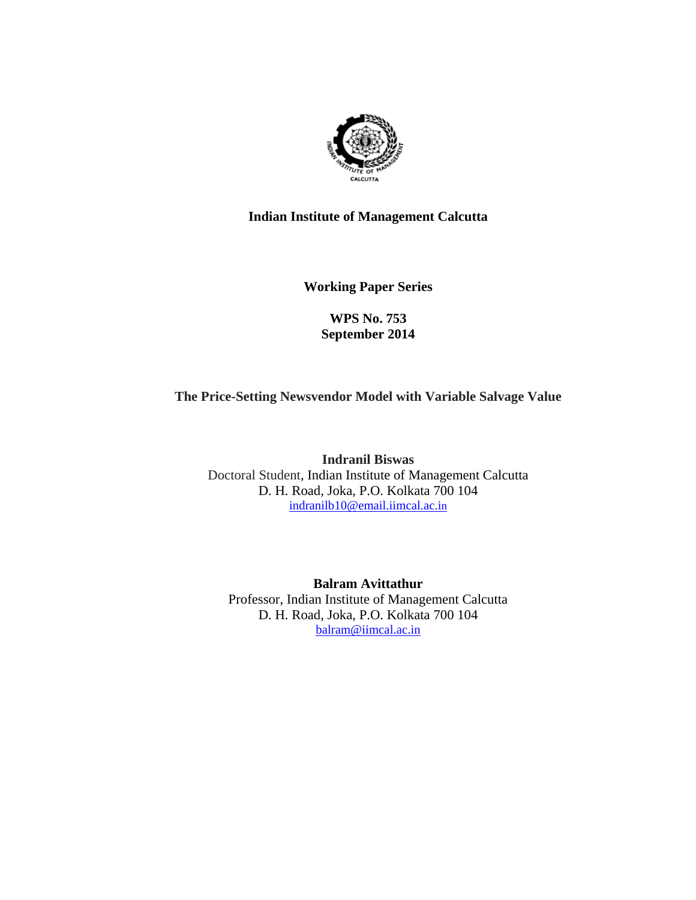

## **Indian Institute of Management Calcutta**

**Working Paper Series** 

# **WPS No. 753 September 2014**

# **The Price-Setting Newsvendor Model with Variable Salvage Value**

**Indranil Biswas**  Doctoral Student, Indian Institute of Management Calcutta D. H. Road, Joka, P.O. Kolkata 700 104 indranilb10@email.iimcal.ac.in

**Balram Avittathur**  Professor, Indian Institute of Management Calcutta D. H. Road, Joka, P.O. Kolkata 700 104 balram@iimcal.ac.in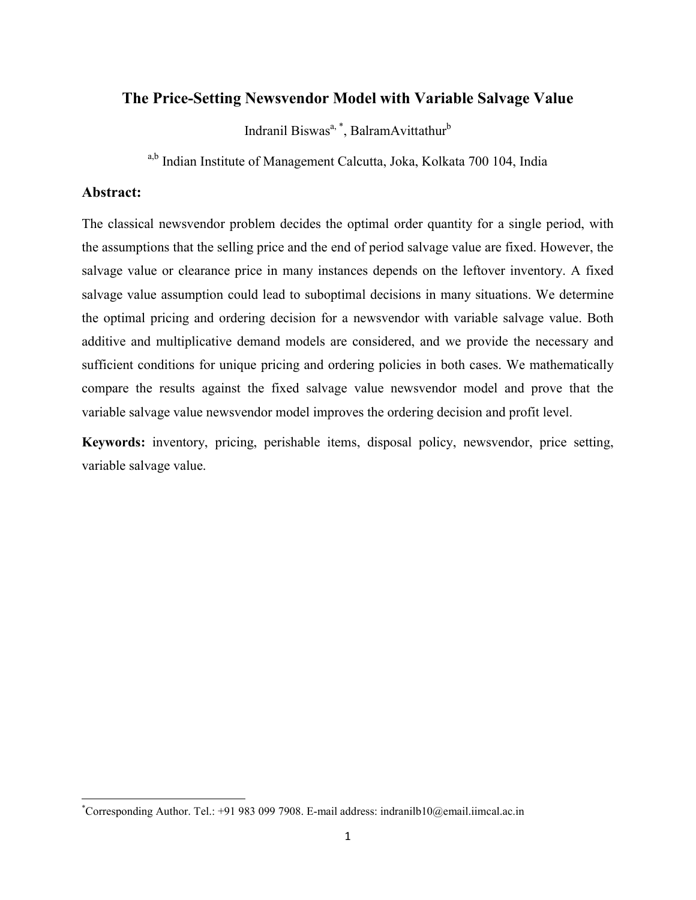# The Price-Setting Newsvendor Model with Variable Salvage Value

Indranil Biswas<sup>a, \*</sup>, BalramAvittathur<sup>b</sup>

a,b Indian Institute of Management Calcutta, Joka, Kolkata 700 104, India

## Abstract:

The classical newsvendor problem decides the optimal order quantity for a single period, with the assumptions that the selling price and the end of period salvage value are fixed. However, the salvage value or clearance price in many instances depends on the leftover inventory. A fixed salvage value assumption could lead to suboptimal decisions in many situations. We determine the optimal pricing and ordering decision for a newsvendor with variable salvage value. Both additive and multiplicative demand models are considered, and we provide the necessary and sufficient conditions for unique pricing and ordering policies in both cases. We mathematically compare the results against the fixed salvage value newsvendor model and prove that the variable salvage value newsvendor model improves the ordering decision and profit level.

Keywords: inventory, pricing, perishable items, disposal policy, newsvendor, price setting, variable salvage value.

\* Corresponding Author. Tel.: +91 983 099 7908. E-mail address: indranilb10@email.iimcal.ac.in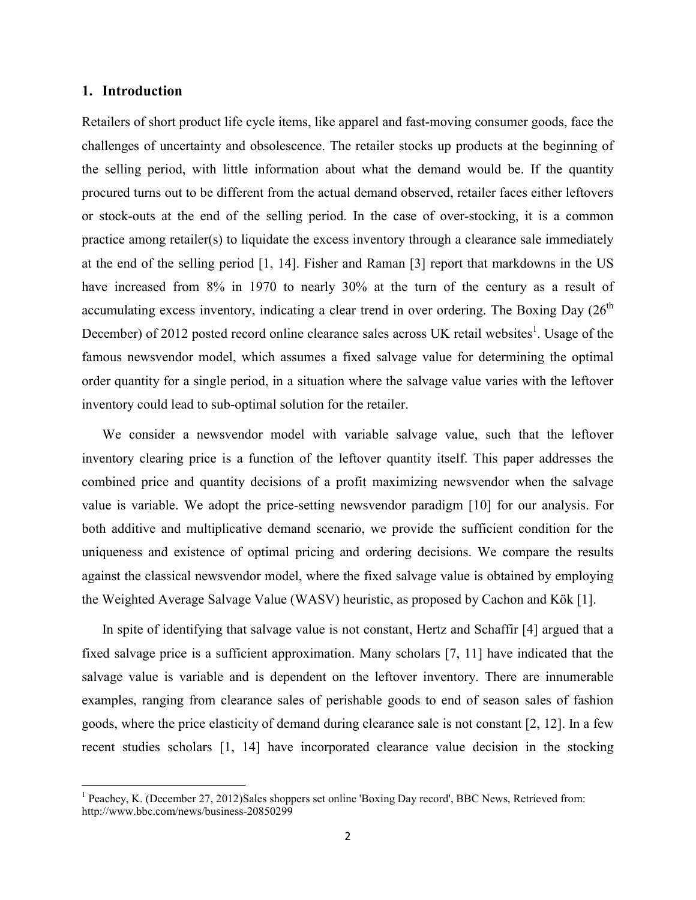## 1. Introduction

Retailers of short product life cycle items, like apparel and fast-moving consumer goods, face the challenges of uncertainty and obsolescence. The retailer stocks up products at the beginning of the selling period, with little information about what the demand would be. If the quantity procured turns out to be different from the actual demand observed, retailer faces either leftovers or stock-outs at the end of the selling period. In the case of over-stocking, it is a common practice among retailer(s) to liquidate the excess inventory through a clearance sale immediately at the end of the selling period [1, 14]. Fisher and Raman [3] report that markdowns in the US have increased from 8% in 1970 to nearly 30% at the turn of the century as a result of accumulating excess inventory, indicating a clear trend in over ordering. The Boxing Day  $(26<sup>th</sup>$ December) of 2012 posted record online clearance sales across UK retail websites<sup>1</sup>. Usage of the famous newsvendor model, which assumes a fixed salvage value for determining the optimal order quantity for a single period, in a situation where the salvage value varies with the leftover inventory could lead to sub-optimal solution for the retailer.

We consider a newsvendor model with variable salvage value, such that the leftover inventory clearing price is a function of the leftover quantity itself. This paper addresses the combined price and quantity decisions of a profit maximizing newsvendor when the salvage value is variable. We adopt the price-setting newsvendor paradigm [10] for our analysis. For both additive and multiplicative demand scenario, we provide the sufficient condition for the uniqueness and existence of optimal pricing and ordering decisions. We compare the results against the classical newsvendor model, where the fixed salvage value is obtained by employing the Weighted Average Salvage Value (WASV) heuristic, as proposed by Cachon and Kök [1].

In spite of identifying that salvage value is not constant, Hertz and Schaffir [4] argued that a fixed salvage price is a sufficient approximation. Many scholars [7, 11] have indicated that the salvage value is variable and is dependent on the leftover inventory. There are innumerable examples, ranging from clearance sales of perishable goods to end of season sales of fashion goods, where the price elasticity of demand during clearance sale is not constant [2, 12]. In a few recent studies scholars [1, 14] have incorporated clearance value decision in the stocking

<sup>&</sup>lt;sup>1</sup> Peachev, K. (December 27, 2012)Sales shoppers set online 'Boxing Day record', BBC News, Retrieved from: http://www.bbc.com/news/business-20850299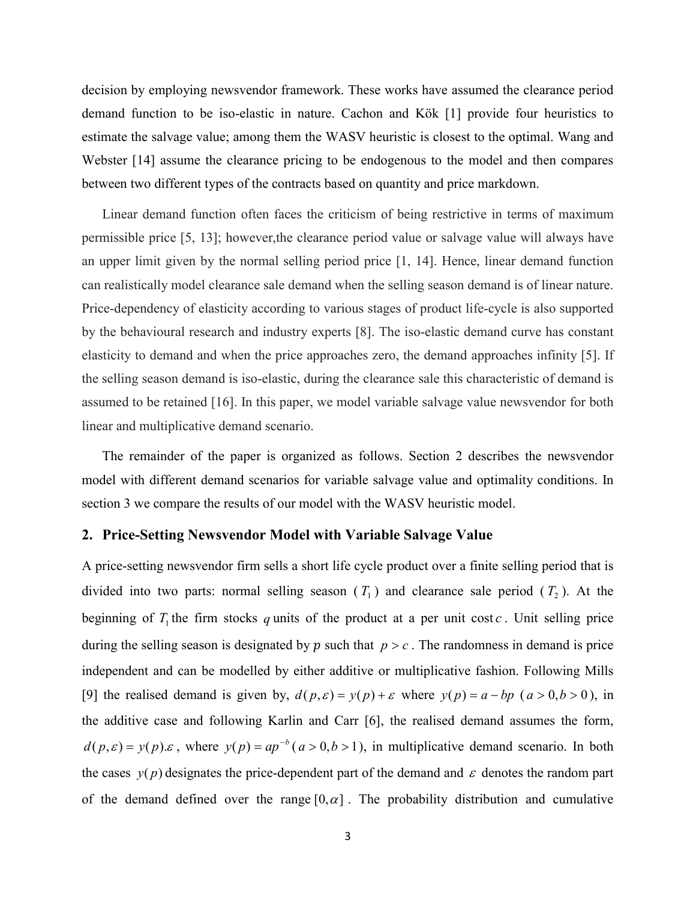decision by employing newsvendor framework. These works have assumed the clearance period demand function to be iso-elastic in nature. Cachon and Kök [1] provide four heuristics to estimate the salvage value; among them the WASV heuristic is closest to the optimal. Wang and Webster [14] assume the clearance pricing to be endogenous to the model and then compares between two different types of the contracts based on quantity and price markdown.

Linear demand function often faces the criticism of being restrictive in terms of maximum permissible price [5, 13]; however,the clearance period value or salvage value will always have an upper limit given by the normal selling period price [1, 14]. Hence, linear demand function can realistically model clearance sale demand when the selling season demand is of linear nature. Price-dependency of elasticity according to various stages of product life-cycle is also supported by the behavioural research and industry experts [8]. The iso-elastic demand curve has constant elasticity to demand and when the price approaches zero, the demand approaches infinity [5]. If the selling season demand is iso-elastic, during the clearance sale this characteristic of demand is assumed to be retained [16]. In this paper, we model variable salvage value newsvendor for both linear and multiplicative demand scenario.

The remainder of the paper is organized as follows. Section 2 describes the newsvendor model with different demand scenarios for variable salvage value and optimality conditions. In section 3 we compare the results of our model with the WASV heuristic model.

#### 2. Price-Setting Newsvendor Model with Variable Salvage Value

A price-setting newsvendor firm sells a short life cycle product over a finite selling period that is divided into two parts: normal selling season  $(T_1)$  and clearance sale period  $(T_2)$ . At the beginning of  $T_1$  the firm stocks q units of the product at a per unit cost c. Unit selling price during the selling season is designated by  $p$  such that  $p > c$ . The randomness in demand is price independent and can be modelled by either additive or multiplicative fashion. Following Mills [9] the realised demand is given by,  $d(p, \varepsilon) = y(p) + \varepsilon$  where  $y(p) = a - bp$  ( $a > 0, b > 0$ ), in the additive case and following Karlin and Carr [6], the realised demand assumes the form,  $d(p, \varepsilon) = y(p) \varepsilon$ , where  $y(p) = ap^{-b} (a > 0, b > 1)$ , in multiplicative demand scenario. In both the cases  $y(p)$  designates the price-dependent part of the demand and  $\varepsilon$  denotes the random part of the demand defined over the range  $[0,\alpha]$ . The probability distribution and cumulative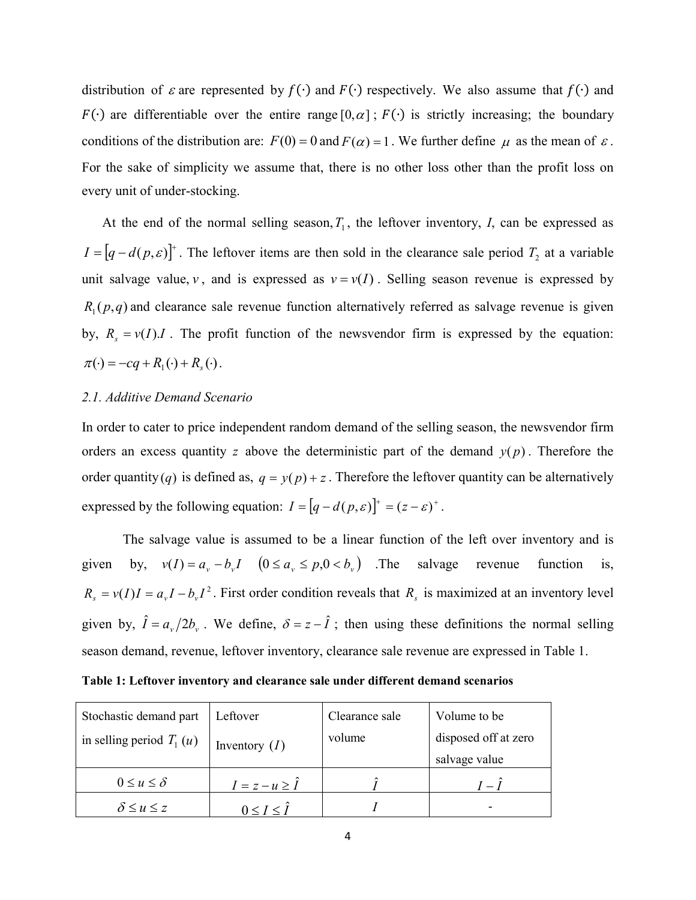distribution of  $\varepsilon$  are represented by  $f(\cdot)$  and  $F(\cdot)$  respectively. We also assume that  $f(\cdot)$  and  $F(\cdot)$  are differentiable over the entire range [0, $\alpha$ ];  $F(\cdot)$  is strictly increasing; the boundary conditions of the distribution are:  $F(0) = 0$  and  $F(\alpha) = 1$ . We further define  $\mu$  as the mean of  $\varepsilon$ . For the sake of simplicity we assume that, there is no other loss other than the profit loss on every unit of under-stocking.

At the end of the normal selling season,  $T_1$ , the leftover inventory,  $I$ , can be expressed as  $I = [q - d(p, \varepsilon)]^+$ . The leftover items are then sold in the clearance sale period  $T_2$  at a variable unit salvage value, *v*, and is expressed as  $v = v(I)$ . Selling season revenue is expressed by  $R_1(p, q)$  and clearance sale revenue function alternatively referred as salvage revenue is given by,  $R_s = v(I)J$ . The profit function of the newsvendor firm is expressed by the equation:  $\pi(\cdot) = -cq + R_{i}(\cdot) + R_{s}(\cdot)$ .

## *2.1. Additive Demand Scenario*

In order to cater to price independent random demand of the selling season, the newsvendor firm orders an excess quantity *z* above the deterministic part of the demand  $y(p)$ . Therefore the order quantity(*q*) is defined as,  $q = y(p) + z$ . Therefore the leftover quantity can be alternatively expressed by the following equation:  $I = [q - d(p, \varepsilon)]^+ = (z - \varepsilon)^+$ .

The salvage value is assumed to be a linear function of the left over inventory and is given by,  $v(I) = a_v - b_v I$   $(0 \le a_v \le p, 0 < b_v)$  The salvage revenue function is,  $R_s = v(I)I = a_vI - b_vI^2$ . First order condition reveals that  $R_s$  is maximized at an inventory level given by,  $\hat{I} = a_{\nu}/2b_{\nu}$ . We define,  $\delta = z - \hat{I}$ ; then using these definitions the normal selling season demand, revenue, leftover inventory, clearance sale revenue are expressed in Table 1.

| Table 1: Leftover inventory and clearance sale under different demand scenarios |  |  |
|---------------------------------------------------------------------------------|--|--|
|                                                                                 |  |  |

| Stochastic demand part     | Leftover                 | Clearance sale | Volume to be         |
|----------------------------|--------------------------|----------------|----------------------|
| in selling period $T_1(u)$ | Inventory $(I)$          | volume         | disposed off at zero |
|                            |                          |                | salvage value        |
| $0 \le u \le \delta$       | $I = z - u \geq \hat{I}$ |                | $=$ $I$              |
| $\delta \leq u \leq z$     | $0 \leq I \leq \hat{I}$  |                |                      |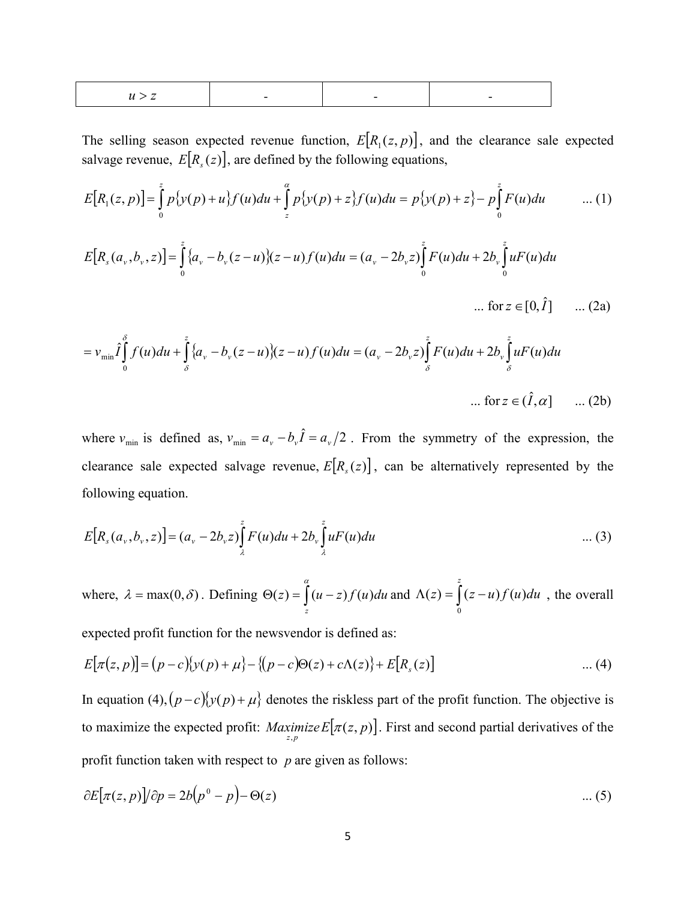|--|

The selling season expected revenue function,  $E[R_1(z, p)]$ , and the clearance sale expected salvage revenue,  $E[R_s(z)]$ , are defined by the following equations,

$$
E[R_1(z,p)] = \int_0^z p\{y(p) + u\} f(u) du + \int_z^{\alpha} p\{y(p) + z\} f(u) du = p\{y(p) + z\} - p\int_0^z F(u) du \qquad \dots (1)
$$
  

$$
E[R_s(a_v, b_v, z)] = \int_0^z \{a_v - b_v(z - u)\}(z - u) f(u) du = (a_v - 2b_v z) \int_0^z F(u) du + 2b_v \int_0^z uF(u) du
$$

$$
\dots
$$
 for  $z \in [0, \hat{I}]$  ... (2a)

$$
=v_{\min}\hat{I}\int_{0}^{\delta}f(u)du + \int_{\delta}^{z}\{a_{v}-b_{v}(z-u)\}(z-u)f(u)du = (a_{v}-2b_{v}z)\int_{\delta}^{z}F(u)du + 2b_{v}\int_{\delta}^{z}uF(u)du
$$
  
... for  $z \in (\hat{I},\alpha]$  ... (2b)

where  $v_{\min}$  is defined as,  $v_{\min} = a_v - b_v \hat{I} = a_v / 2$ . From the symmetry of the expression, the clearance sale expected salvage revenue,  $E[R_s(z)]$ , can be alternatively represented by the following equation.

$$
E[R_s(a_v, b_v, z)] = (a_v - 2b_v z) \int_{\lambda}^{z} F(u) du + 2b_v \int_{\lambda}^{z} u F(u) du \qquad \qquad \dots (3)
$$

where,  $\lambda = \max(0, \delta)$ . Defining  $\Theta(z) = \int_{0}^{\alpha} (u \Delta(z) = \int_{z}^{z} (u-z) f(u) du$  and  $\Delta(z) = \int_{0}^{z} (z-z) f(u) du$ *z*  $z = (z - u)f(u)du$ 0  $(z) = (z - u) f(u) du$ , the overall

expected profit function for the newsvendor is defined as:

$$
E[\pi(z, p)] = (p - c)\{y(p) + \mu\} - \{(p - c)\Theta(z) + c\Lambda(z)\} + E[R_s(z)] \tag{4}
$$

In equation (4),  $\left(p-c\right)\left\{y(p)+\mu\right\}$  denotes the riskless part of the profit function. The objective is to maximize the expected profit:  $\text{Maximize } E[\pi(z, p)]$ . First and second partial derivatives of the profit function taken with respect to *p* are given as follows:

$$
\partial E[\pi(z,p)]/\partial p = 2b(p^0 - p) - \Theta(z) \qquad \dots (5)
$$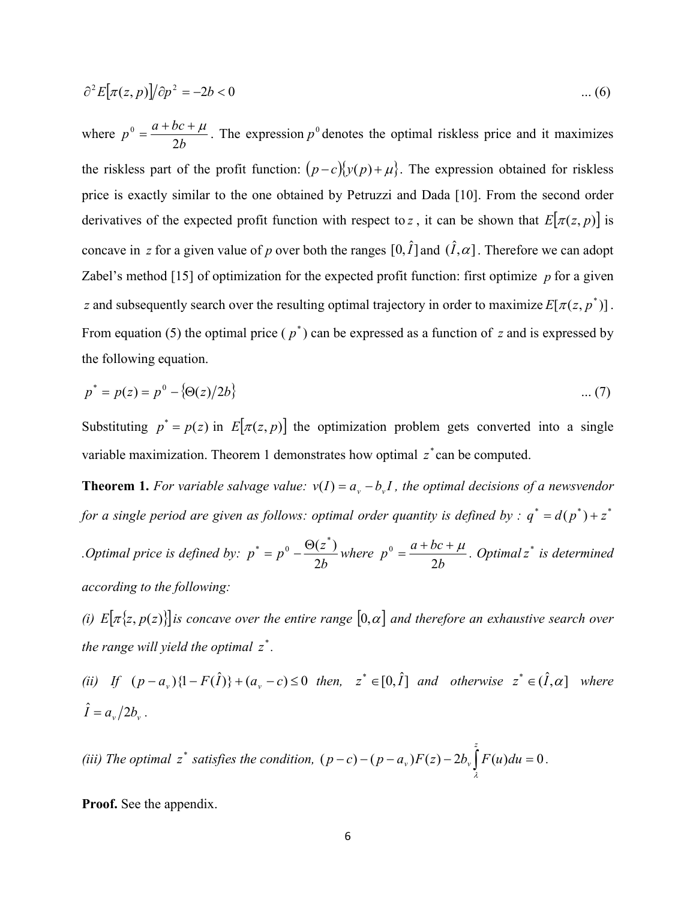$$
\partial^2 E[\pi(z, p)]/\partial p^2 = -2b < 0 \tag{6}
$$

where *b*  $p^0 = \frac{a + bc + \mu}{2b}$ . The expression  $p^0$  denotes the optimal riskless price and it maximizes the riskless part of the profit function:  $(p-c){y(p)+\mu}$ . The expression obtained for riskless price is exactly similar to the one obtained by Petruzzi and Dada [10]. From the second order derivatives of the expected profit function with respect to *z*, it can be shown that  $E[\pi(z, p)]$  is concave in *z* for a given value of *p* over both the ranges  $[0, \hat{I}]$  and  $(\hat{I}, \alpha]$ . Therefore we can adopt Zabel's method [15] of optimization for the expected profit function: first optimize *p* for a given *z* and subsequently search over the resulting optimal trajectory in order to maximize  $E[\pi(z, p^*)]$ . From equation (5) the optimal price  $(p^*)$  can be expressed as a function of *z* and is expressed by the following equation.

$$
p^* = p(z) = p^0 - \{ \Theta(z)/2b \}
$$
 ... (7)

Substituting  $p^* = p(z)$  in  $E[\pi(z, p)]$  the optimization problem gets converted into a single variable maximization. Theorem 1 demonstrates how optimal  $z^*$  can be computed.

**Theorem 1.** For variable salvage value:  $v(I) = a_v - b_v I$ , the optimal decisions of a newsvendor *for a single period are given as follows: optimal order quantity is defined by :*  $q^* = d(p^*) + z^*$ 

*. Optimal price is defined by:*  $p^* = p^0 - \frac{\Theta(z^*)}{2b}$  where *b*  $p^0 = \frac{a + bc + \mu}{2b}$ . *Optimal*  $z^*$  *is determined according to the following:* 

*(i)*  $E[\pi\{z, p(z)\}]$  *is concave over the entire range*  $[0, \alpha]$  *and therefore an exhaustive search over the range will yield the optimal*  $z^*$ *.* 

*(ii)* If  $(p - a_v)\{1 - F(\hat{I})\} + (a_v - c) \leq 0$  then,  $z^* \in [0, \hat{I}]$  and otherwise  $z^* \in (\hat{I}, \alpha]$  where  $\hat{I} = a_{\nu}/2b_{\nu}$ .

(*iii*) The optimal  $z^*$  *satisfies the condition,*  $(p-c)-(p-a_v)F(z)-2b_v\int F(u)du=0$ *z*  $p - c$ ) –  $(p - a_v)F(z) - 2b_v F(u)du$ λ *.*

Proof. See the appendix.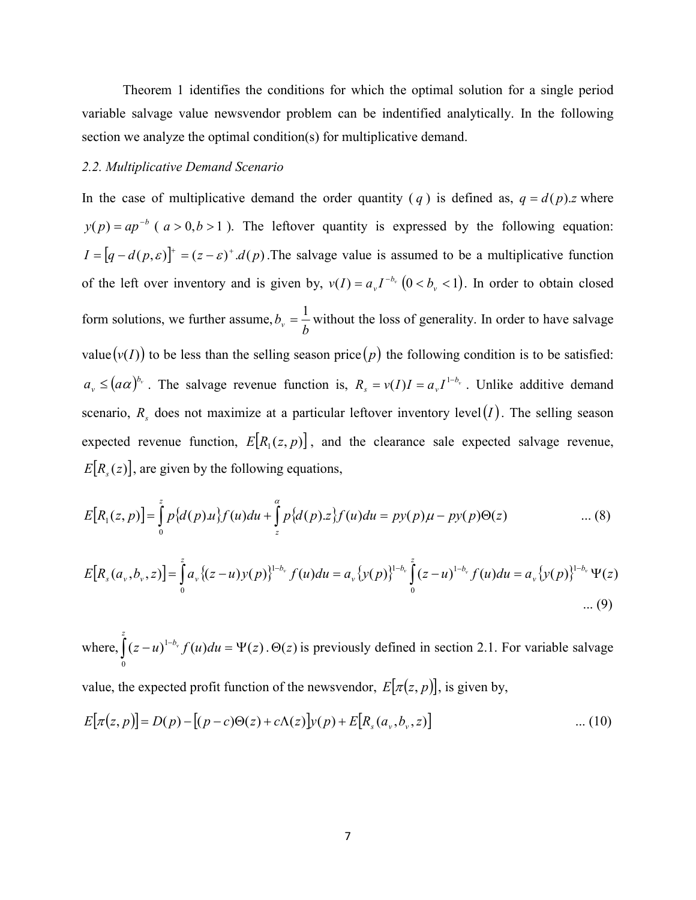Theorem 1 identifies the conditions for which the optimal solution for a single period variable salvage value newsvendor problem can be indentified analytically. In the following section we analyze the optimal condition(s) for multiplicative demand.

#### *2.2. Multiplicative Demand Scenario*

In the case of multiplicative demand the order quantity (*q*) is defined as,  $q = d(p)z$  where  $p(p) = ap^{-b}$  ( $a > 0, b > 1$ ). The leftover quantity is expressed by the following equation:  $I = [q - d(p, \varepsilon)]^+ = (z - \varepsilon)^+ d(p)$ . The salvage value is assumed to be a multiplicative function of the left over inventory and is given by,  $v(I) = a_v I^{-b_v} (0 < b_v < 1)$ . In order to obtain closed form solutions, we further assume,  $b_v = \frac{1}{b}$  without the loss of generality. In order to have salvage value  $(v(I))$  to be less than the selling season price  $(p)$  the following condition is to be satisfied:  $a_v \leq (a\alpha)^{b_v}$ . The salvage revenue function is,  $R_s = v(I)I = a_vI^{1-b_v}$ . Unlike additive demand scenario,  $R_s$  does not maximize at a particular leftover inventory level(*I*). The selling season expected revenue function,  $E[R_1(z, p)]$ , and the clearance sale expected salvage revenue,  $E[R_s(z)]$ , are given by the following equations,

$$
E[R_1(z,p)] = \int_{0}^{z} p\{d(p)u\} f(u)du + \int_{z}^{\alpha} p\{d(p)u\} f(u)du = py(p)\mu - py(p)\Theta(z) \quad \dots (8)
$$

$$
E[R_s(a_v, b_v, z)] = \int_0^z a_v \{(z - u)v(p)\}^{1 - b_v} f(u) du = a_v \{v(p)\}^{1 - b_v} \int_0^z (z - u)^{1 - b_v} f(u) du = a_v \{v(p)\}^{1 - b_v} \Psi(z)
$$
  
.... (9)

where,  $|(z - u)^{1 - b_v} f(u) du = \Psi(z)$  $\boldsymbol{0}$  $(z - u)^{1 - b_v} f(u) du = \Psi(z)$ *z*  $\int (z-u)^{1-b_v} f(u) du = \Psi(z)$ .  $\Theta(z)$  is previously defined in section 2.1. For variable salvage

value, the expected profit function of the newsvendor,  $E[\pi(z, p)]$ , is given by,

$$
E[\pi(z, p)] = D(p) - [(p - c)\Theta(z) + c\Lambda(z)]y(p) + E[R_s(a_v, b_v, z)] \tag{10}
$$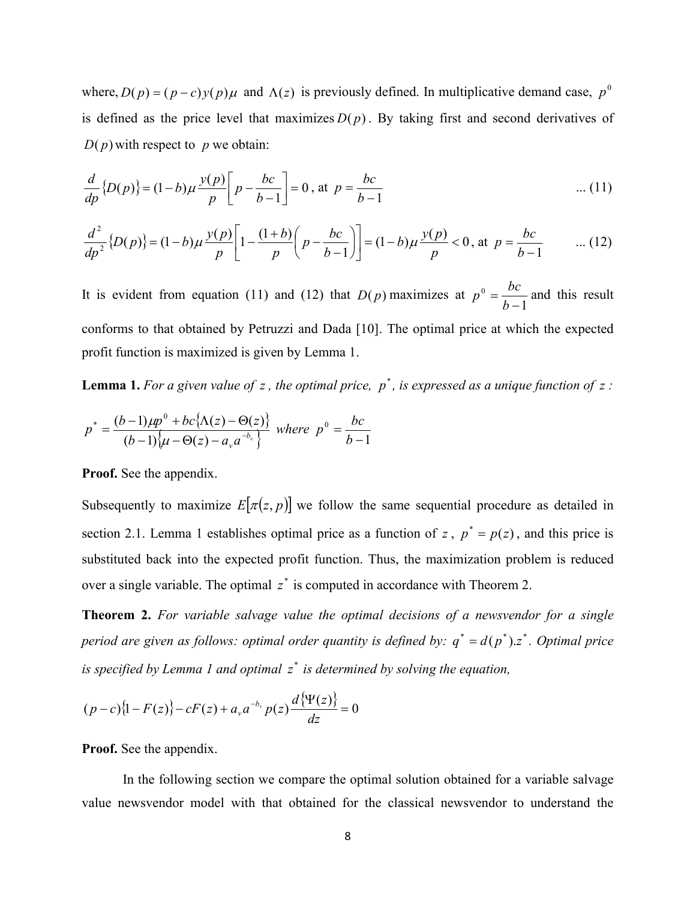where,  $D(p) = (p - c)y(p)\mu$  and  $\Lambda(z)$  is previously defined. In multiplicative demand case,  $p^0$ is defined as the price level that maximizes  $D(p)$ . By taking first and second derivatives of  $D(p)$  with respect to *p* we obtain:

$$
\frac{d}{dp} \{D(p)\} = (1-b)\mu \frac{y(p)}{p} \left[p - \frac{bc}{b-1}\right] = 0, \text{ at } p = \frac{bc}{b-1} \tag{11}
$$

$$
\frac{d^2}{dp^2} \{D(p)\} = (1-b)\mu \frac{y(p)}{p} \left[1 - \frac{(1+b)}{p} \left(p - \frac{bc}{b-1}\right)\right] = (1-b)\mu \frac{y(p)}{p} < 0, \text{ at } p = \frac{bc}{b-1} \qquad \dots (12)
$$

It is evident from equation (11) and (12) that  $D(p)$  maximizes at 1  $p^0 = \frac{bc}{b-1}$  and this result conforms to that obtained by Petruzzi and Dada [10]. The optimal price at which the expected profit function is maximized is given by Lemma 1.

**Lemma 1.** For a given value of z, the optimal price,  $p^*$ , is expressed as a unique function of z:

$$
p^* = \frac{(b-1)\mu p^0 + bc\{\Lambda(z) - \Theta(z)\}}{(b-1)\{\mu - \Theta(z) - a_{\nu} a^{-b_{\nu}}}\} \text{ where } p^0 = \frac{bc}{b-1}
$$

Proof. See the appendix.

Subsequently to maximize  $E[\pi(z, p)]$  we follow the same sequential procedure as detailed in section 2.1. Lemma 1 establishes optimal price as a function of *z*,  $p^* = p(z)$ , and this price is substituted back into the expected profit function. Thus, the maximization problem is reduced over a single variable. The optimal  $z^*$  is computed in accordance with Theorem 2.

Theorem 2. *For variable salvage value the optimal decisions of a newsvendor for a single period are given as follows: optimal order quantity is defined by:*  $q^* = d(p^*)$ .*z*<sup>\*</sup>. *Optimal price is specified by Lemma 1 and optimal* \* *z is determined by solving the equation,* 

$$
(p-c){1-F(z)}-cF(z)+a_{\nu}a^{-b_{\nu}}p(z)\frac{d{\Psi(z)}}{dz}=0
$$

Proof. See the appendix.

In the following section we compare the optimal solution obtained for a variable salvage value newsvendor model with that obtained for the classical newsvendor to understand the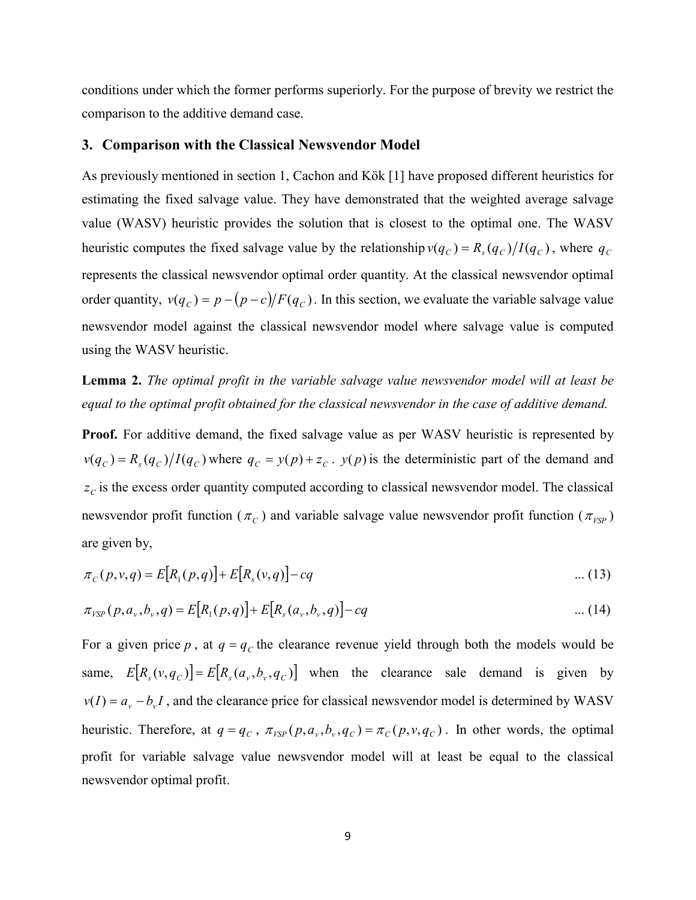conditions under which the former performs superiorly. For the purpose of brevity we restrict the comparison to the additive demand case.

## 3. Comparison with the Classical Newsvendor Model

As previously mentioned in section 1, Cachon and Kök [1] have proposed different heuristics for estimating the fixed salvage value. They have demonstrated that the weighted average salvage value (WASV) heuristic provides the solution that is closest to the optimal one. The WASV heuristic computes the fixed salvage value by the relationship  $v(q_C) = R_s(q_C)/I(q_C)$ , where  $q_C$ represents the classical newsvendor optimal order quantity. At the classical newsvendor optimal order quantity,  $v(q_c) = p - (p - c)/F(q_c)$ . In this section, we evaluate the variable salvage value newsvendor model against the classical newsvendor model where salvage value is computed using the WASV heuristic.

Lemma 2. *The optimal profit in the variable salvage value newsvendor model will at least be equal to the optimal profit obtained for the classical newsvendor in the case of additive demand.*

Proof. For additive demand, the fixed salvage value as per WASV heuristic is represented by  $v(q_C) = R_s(q_C)/I(q_C)$  where  $q_C = y(p) + z_C$ .  $y(p)$  is the deterministic part of the demand and  $z_c$  is the excess order quantity computed according to classical newsvendor model. The classical newsvendor profit function ( $\pi$ <sub>C</sub>) and variable salvage value newsvendor profit function ( $\pi$ <sub>VSP</sub>) are given by,

$$
\pi_C(p, v, q) = E[R_1(p, q)] + E[R_s(v, q)] - cq \qquad \qquad \dots (13)
$$

$$
\pi_{VSP}(p, a_{\nu}, b_{\nu}, q) = E[R_1(p, q)] + E[R_s(a_{\nu}, b_{\nu}, q)] - cq \qquad \qquad \dots (14)
$$

For a given price  $p$ , at  $q = q_c$  the clearance revenue yield through both the models would be same,  $E[R_s(v, q_c)] = E[R_s(a_v, b_v, q_c)]$  when the clearance sale demand is given by  $v(I) = a_v - b_v I$ , and the clearance price for classical newsvendor model is determined by WASV heuristic. Therefore, at  $q = q_c$ ,  $\pi_{VSP}(p, a_v, b_v, q_c) = \pi_c(p, v, q_c)$ . In other words, the optimal profit for variable salvage value newsvendor model will at least be equal to the classical newsvendor optimal profit.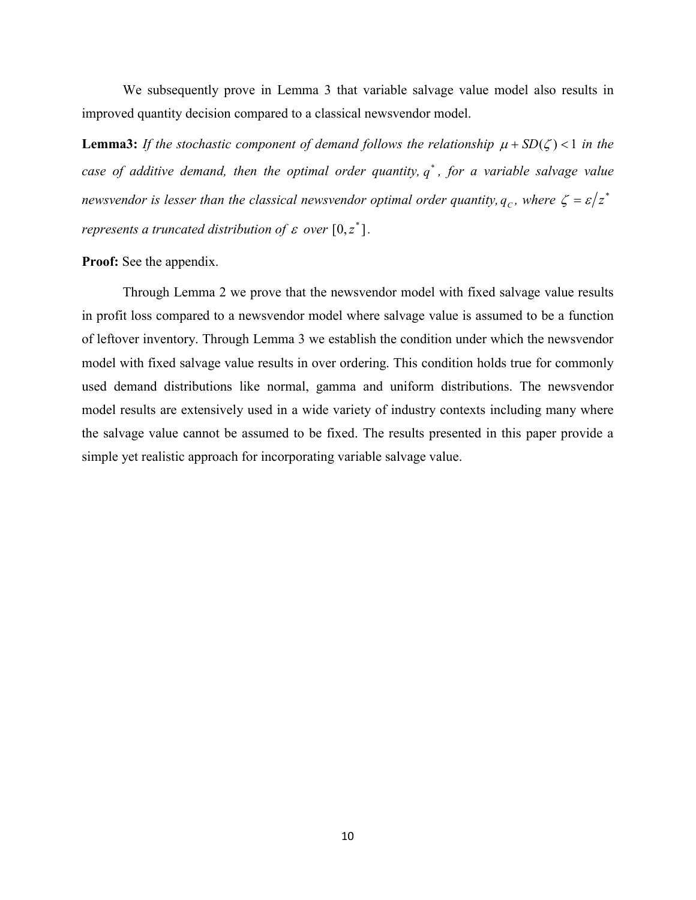We subsequently prove in Lemma 3 that variable salvage value model also results in improved quantity decision compared to a classical newsvendor model.

**Lemma3:** If the stochastic component of demand follows the relationship  $\mu + SD(\zeta) < 1$  in the *case of additive demand, then the optimal order quantity, q<sup>\*</sup>, for a variable salvage value newsvendor is lesser than the classical newsvendor optimal order quantity,*  $q_c$ *, where*  $\zeta = \varepsilon/z^*$ *represents a truncated distribution of*  $\varepsilon$  *over*  $[0, z^*]$ .

#### Proof: See the appendix.

Through Lemma 2 we prove that the newsvendor model with fixed salvage value results in profit loss compared to a newsvendor model where salvage value is assumed to be a function of leftover inventory. Through Lemma 3 we establish the condition under which the newsvendor model with fixed salvage value results in over ordering. This condition holds true for commonly used demand distributions like normal, gamma and uniform distributions. The newsvendor model results are extensively used in a wide variety of industry contexts including many where the salvage value cannot be assumed to be fixed. The results presented in this paper provide a simple yet realistic approach for incorporating variable salvage value.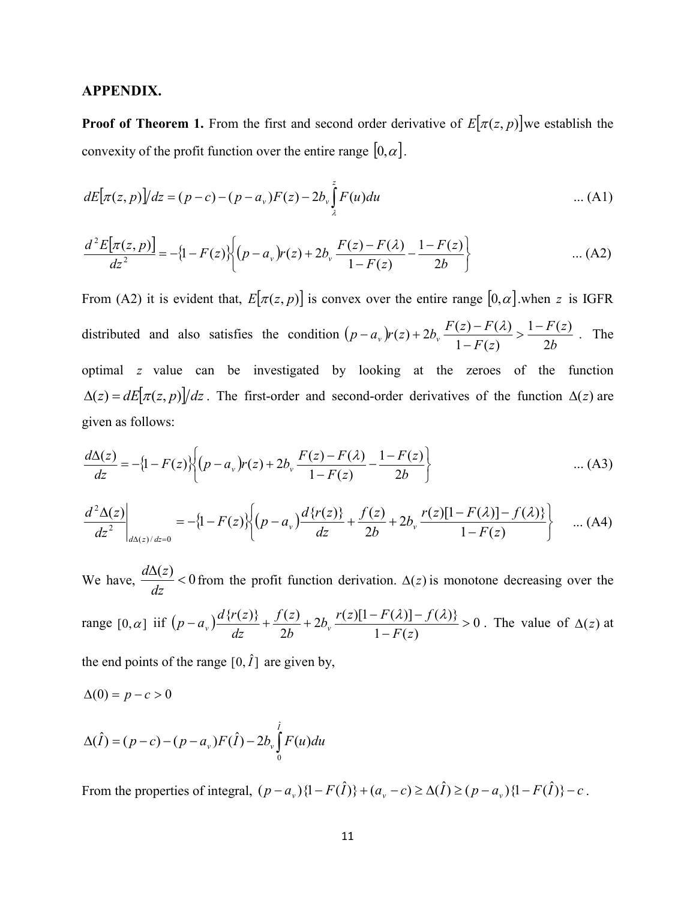#### APPENDIX.

**Proof of Theorem 1.** From the first and second order derivative of  $E[\pi(z, p)]$  we establish the convexity of the profit function over the entire range  $[0, \alpha]$ .

$$
dE[\pi(z, p)]/dz = (p - c) - (p - a_v)F(z) - 2b_v \int_{\lambda}^{z} F(u) du
$$
 ... (A1)

$$
\frac{d^2 E[\pi(z, p)]}{dz^2} = -\{1 - F(z)\} \bigg\{ (p - a_v)r(z) + 2b_v \frac{F(z) - F(\lambda)}{1 - F(z)} - \frac{1 - F(z)}{2b} \bigg\} \qquad \qquad \dots (A2)
$$

From (A2) it is evident that,  $E[\pi(z, p)]$  is convex over the entire range  $[0, \alpha]$  when z is IGFR distributed and also satisfies the condition  $(p - a_v)r(z) + 2b_v \frac{F(z) - F(\lambda)}{1 - F(z)} > \frac{1 - F(z)}{2b}$ *F z*  $p - a_v$   $r(z) + 2b_v \frac{F(z) - F(\lambda)}{1 - F(z)} > \frac{1 - F(z)}{2b}$  $(a - a_v)r(z) + 2b_v \frac{F(z) - F(\lambda)}{1 - F(z)} > \frac{1 - F(z)}{2b}$ . The optimal *z* value can be investigated by looking at the zeroes of the function  $\Delta(z) = dE[\pi(z, p)]/dz$ . The first-order and second-order derivatives of the function  $\Delta(z)$  are given as follows:

$$
\frac{d\Delta(z)}{dz} = -\{1 - F(z)\} \bigg\{ (p - a_v)r(z) + 2b_v \frac{F(z) - F(\lambda)}{1 - F(z)} - \frac{1 - F(z)}{2b} \bigg\} \qquad \qquad \dots (A3)
$$

$$
\frac{d^2\Delta(z)}{dz^2}\bigg|_{d\Delta(z)/dz=0} = -\{1 - F(z)\}\bigg\{ (p - a_v) \frac{d\{r(z)\}}{dz} + \frac{f(z)}{2b} + 2b_v \frac{r(z)[1 - F(\lambda)] - f(\lambda)\}}{1 - F(z)} \bigg\} \qquad \dots \text{(A4)}
$$

We have,  $\frac{d\Delta(z)}{1} < 0$ *dz*  $\frac{d\Delta(z)}{dz}$  < 0 from the profit function derivation.  $\Delta(z)$  is monotone decreasing over the range  $[0,\alpha]$  iif  $(p-a_v)\frac{d(v+2v)}{dx} + \frac{f'(2v)}{dx} + 2b_v \frac{f'(2v)(1-x(v))}{dx}$   $\to 0$  $1 - F(z)$  $2b_v \frac{r(z)[1 - F(\lambda)] - f(\lambda)}{1 - F(\lambda)}$  $(a_n)^{d}{r(z)} + \frac{f(z)}{2b} + 2b_n \frac{r(z)[1 - F(\lambda)] - f(\lambda)}{1 - F(z)} >$ *F z*  $b_v \frac{r(z)[1-F(\lambda)]-f}{r(z)}$ *b f z dz*  $p - a_v \frac{d\{r(z)\}}{dz} + \frac{f(z)}{2b} + 2b_v \frac{r(z)[1 - F(\lambda)] - f(\lambda)\}}{1 - F(z)} > 0$ . The value of  $\Delta(z)$  at the end points of the range  $[0, \hat{I}]$  are given by,

$$
\Delta(0) = p - c > 0
$$

$$
\Delta(\hat{I}) = (p - c) - (p - a_v)F(\hat{I}) - 2b_v \int_0^{\hat{I}} F(u) du
$$

From the properties of integral,  $(p - a_v)\{1 - F(\hat{I})\} + (a_v - c) \ge \Delta(\hat{I}) \ge (p - a_v)\{1 - F(\hat{I})\} - c$ .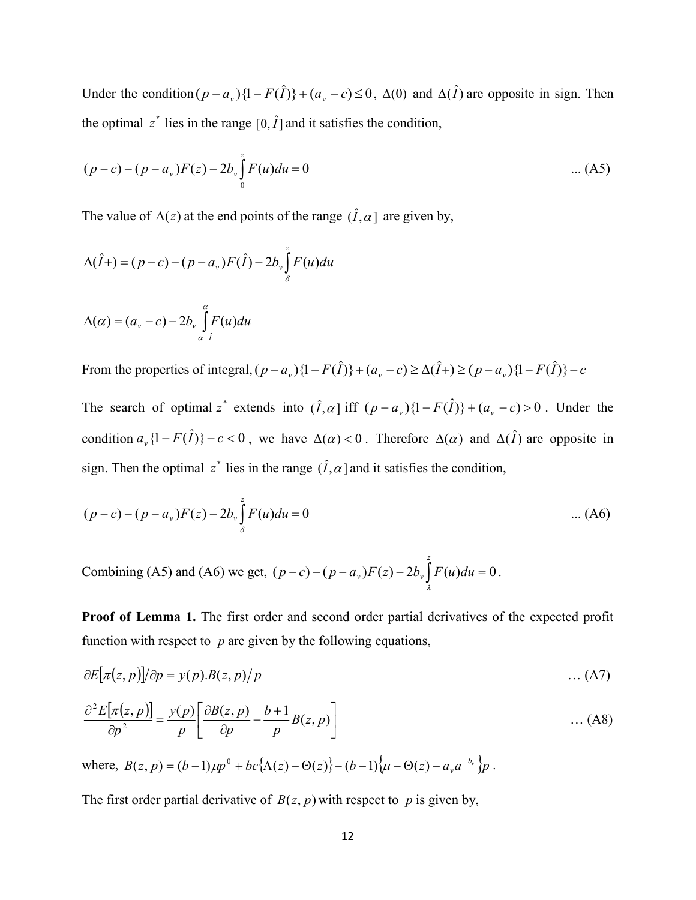Under the condition  $(p - a_y) \{1 - F(\hat{I})\} + (a_y - c) \le 0$ ,  $\Delta(0)$  and  $\Delta(\hat{I})$  are opposite in sign. Then the optimal  $z^*$  lies in the range  $[0, \hat{I}]$  and it satisfies the condition,

$$
(p-c) - (p - a_v)F(z) - 2b_v \int_0^z F(u) du = 0
$$
 ... (A5)

The value of  $\Delta(z)$  at the end points of the range  $(\hat{I}, \alpha)$  are given by,

$$
\Delta(\hat{I}+)=(p-c)-(p-a_v)F(\hat{I})-2b_v\int_{\delta}^{z}F(u)du
$$

$$
\Delta(\alpha) = (a_v - c) - 2b_v \int_{\alpha - \hat{I}}^{\alpha} F(u) du
$$

From the properties of integral,  $(p - a_v) \{1 - F(\hat{I})\} + (a_v - c) \ge \Delta(\hat{I}) + (p - a_v) \{1 - F(\hat{I})\} - c$ 

The search of optimal  $z^*$  extends into  $(\hat{I}, \alpha)$  iff  $(p - a_v){1 - F(\hat{I})} + (a_v - c) > 0$ . Under the condition  $a_{\nu}$  {1 -  $F(\hat{I})$ } -  $c$  < 0, we have  $\Delta(\alpha)$  < 0. Therefore  $\Delta(\alpha)$  and  $\Delta(\hat{I})$  are opposite in sign. Then the optimal  $z^*$  lies in the range  $(\hat{I}, \alpha)$  and it satisfies the condition,

$$
(p - c) - (p - a_v)F(z) - 2b_v \int_{\delta}^{z} F(u) du = 0
$$
 ... (A6)

Combining (A5) and (A6) we get,  $(p - c) - (p - a_v)F(z) - 2b_v \int F(u)du = 0$ *z*  $p - c) - (p - a_v)F(z) - 2b_v F(u)du$ λ .

Proof of Lemma 1. The first order and second order partial derivatives of the expected profit function with respect to *p* are given by the following equations,

$$
\partial E[\pi(z, p)]/\partial p = y(p)B(z, p)/p \tag{A7}
$$

$$
\frac{\partial^2 E[\pi(z,p)]}{\partial p^2} = \frac{y(p)}{p} \left[ \frac{\partial B(z,p)}{\partial p} - \frac{b+1}{p} B(z,p) \right] \tag{A8}
$$

where,  $B(z, p) = (b-1)\mu p^0 + bc\{\Lambda(z) - \Theta(z)\} - (b-1)\mu - \Theta(z) - a_r a^{-b_r}p$ .

The first order partial derivative of  $B(z, p)$  with respect to p is given by,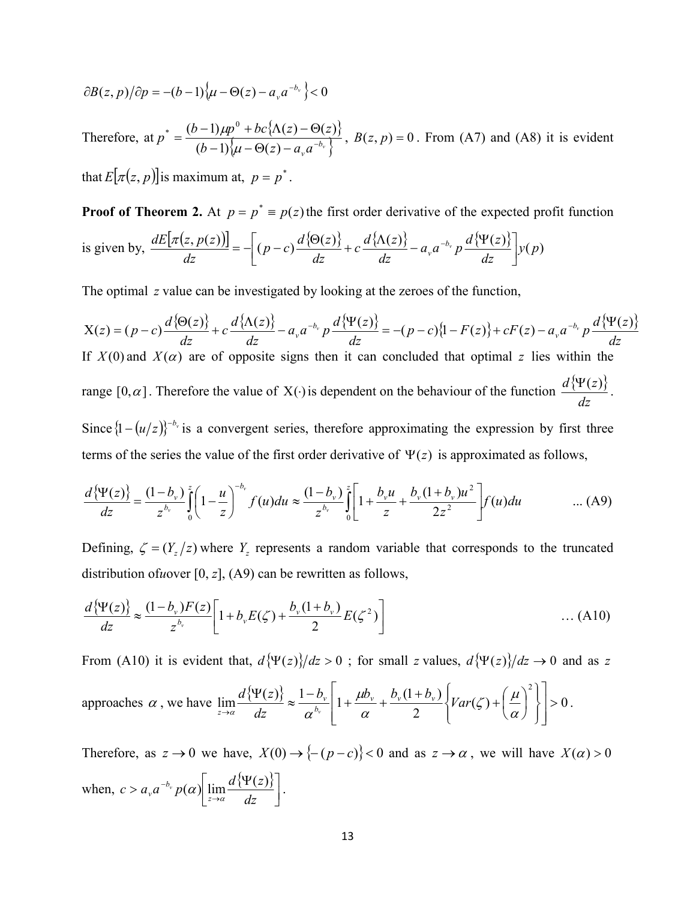$$
\frac{\partial B(z,p)}{\partial p} = -(b-1)\big\{\mu - \Theta(z) - a_{\nu} a^{-b_{\nu}}\big\} < 0
$$

Therefore, at  $p^* = \frac{(b-1)\mu p^0 + bc\{\Lambda(z) - \Theta(z)\}}{a\Lambda(z) - a\Lambda(z)}$  $(b-1)\{\mu - \Theta(z) - a_{\nu}a^{-b_{\nu}}\}\$  $p^* = \frac{(b-1)\mu p^0 + bc\{\Lambda(z) - \Theta(z)\}}{(b-1)\left\{\mu - \Theta(z) - a_{\nu}a^{-b_{\nu}}\right\}}$  $\mu$  $\mu p^2 + bc \{\Lambda(z) - \Theta(z)\}\overline{\Lambda}$ ,  $B(z, p) = 0$ . From (A7) and (A8) it is evident

that  $E[\pi(z, p)]$  is maximum at,  $p = p^*$ .

**Proof of Theorem 2.** At  $p = p^* \equiv p(z)$  the first order derivative of the expected profit function is given by,  $\frac{dE[\pi(z, p(z))]}{dz} = -\left[ (p - c) \frac{d\{\Theta(z)\}}{dz} + c \frac{d\{\Lambda(z)\}}{dz} - a_{\nu} a^{-b_{\nu}} p \frac{d\{\Psi(z)\}}{dz} \right] y(p)$ *dz*  $p - c$ ) $\frac{d \{\Theta(z)}{d} }$ *dz*  $dE[\pi(z,p(z))] = \int_{\mathbb{R}} (p-z) \frac{d \{\Theta(z)\}}{dz} + c \frac{d \{\Lambda(z)\}}{dz} = a \cdot a^{-b}$  $\left[ (p-c)\frac{d\{\Theta(z)\}}{dz} + c\frac{d\{\Lambda(z)\}}{dz} - a_{\nu}a^{-b_{\nu}}p\frac{d\{\Psi(z)\}}{dz} \right]$  $\frac{\pi(z,p(z))}{\sigma} = -\left[ (p-c) \frac{d\{\Theta(z)\}}{\sigma} + c \frac{d\{\Lambda(z)\}}{\sigma} - a_{\nu} a^{-b_{\nu}} p \frac{d\{\Psi\}}{\sigma} \right]$ 

The optimal *z* value can be investigated by looking at the zeroes of the function,

$$
X(z) = (p - c) \frac{d\{\Theta(z)\}}{dz} + c \frac{d\{\Lambda(z)\}}{dz} - a_v a^{-b_v} p \frac{d\{\Psi(z)\}}{dz} = -(p - c)\{1 - F(z)\} + cF(z) - a_v a^{-b_v} p \frac{d\{\Psi(z)\}}{dz}
$$
  
If  $X(0)$  and  $X(\alpha)$  are of opposite signs then it can concluded that optimal z lies within the  
range  $[0, \alpha]$ . Therefore the value of  $X(\cdot)$  is dependent on the behaviour of the function  $\frac{d\{\Psi(z)\}}{dz}$ .  
Since  $\{1 - (u/z)\}^{-b_v}$  is a convergent series, therefore approximating the expression by first three  
terms of the series the value of the first order derivative of  $\Psi(z)$  is approximated as follows,

$$
\frac{d\{\Psi(z)\}}{dz} = \frac{(1-b_{\nu})}{z^{b_{\nu}}}\int_{0}^{z} \left(1-\frac{u}{z}\right)^{-b_{\nu}}f(u)du \approx \frac{(1-b_{\nu})}{z^{b_{\nu}}}\int_{0}^{z} \left[1+\frac{b_{\nu}u}{z}+\frac{b_{\nu}(1+b_{\nu})u^{2}}{2z^{2}}\right]f(u)du \qquad \qquad \dots (A9)
$$

Defining,  $\zeta = (Y_z/z)$  where  $Y_z$  represents a random variable that corresponds to the truncated distribution of*u*over [0, *z*], (A9) can be rewritten as follows,

$$
\frac{d\{\Psi(z)\}}{dz} \approx \frac{(1-b_v)F(z)}{z^{b_v}} \left[1+b_v E(\zeta) + \frac{b_v(1+b_v)}{2} E(\zeta^2)\right] \tag{A10}
$$

From (A10) it is evident that,  $d\{\Psi(z)\}/dz > 0$ ; for small *z* values,  $d\{\Psi(z)\}/dz \to 0$  and as *z* 

approaches 
$$
\alpha
$$
, we have  $\lim_{z \to \alpha} \frac{d \{\Psi(z)\}}{dz} \approx \frac{1 - b_v}{\alpha^{b_v}} \left[ 1 + \frac{\mu b_v}{\alpha} + \frac{b_v (1 + b_v)}{2} \left\{ Var(\zeta) + \left(\frac{\mu}{\alpha}\right)^2 \right\} \right] > 0$ .

Therefore, as  $z \to 0$  we have,  $X(0) \to \{-(p-c)\} < 0$  and as  $z \to \alpha$ , we will have  $X(\alpha) > 0$ when,  $c > a_y a^{-b_y} p(\alpha) \left[ \lim_{z \to \alpha} \frac{d \{\Psi(z)\}}{dz} \right]$  $> a_{v} a^{-b_{v}} p(\alpha) \Big| \lim_{z \to \alpha} \frac{d \{\Psi}{\}}{d}$ *dz*  $c > a_y a^{-b_y} p(\alpha) \left| \lim_{z \to \alpha} \frac{d^1 \Psi(z)}{dz} \right|.$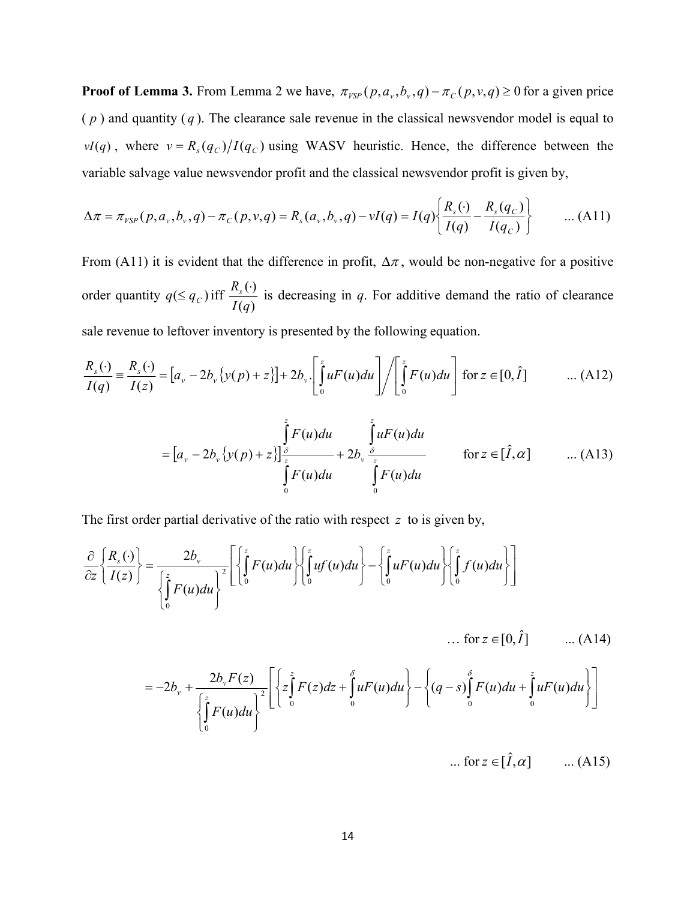**Proof of Lemma 3.** From Lemma 2 we have,  $\pi_{VSP}(p, a_v, b_v, q) - \pi_c(p, v, q) \ge 0$  for a given price  $(p)$  and quantity  $(q)$ . The clearance sale revenue in the classical newsvendor model is equal to  $vI(q)$ , where  $v = R_s(q_c)/I(q_c)$  using WASV heuristic. Hence, the difference between the variable salvage value newsvendor profit and the classical newsvendor profit is given by,

$$
\Delta \pi = \pi_{VSP}(p, a_{\nu}, b_{\nu}, q) - \pi_C(p, \nu, q) = R_s(a_{\nu}, b_{\nu}, q) - \nu I(q) = I(q) \left\{ \frac{R_s(\cdot)}{I(q)} - \frac{R_s(q_C)}{I(q_C)} \right\} \qquad \dots (A11)
$$

From (A11) it is evident that the difference in profit,  $\Delta \pi$ , would be non-negative for a positive order quantity  $q \leq q_c$ ) iff  $\frac{R_s(t)}{I(q)}$  $(\cdot)$ *I q*  $rac{R_s(\cdot)}{K_s(\cdot)}$  is decreasing in *q*. For additive demand the ratio of clearance sale revenue to leftover inventory is presented by the following equation.

$$
\frac{R_s(\cdot)}{I(q)} \equiv \frac{R_s(\cdot)}{I(z)} = \left[a_v - 2b_v\left\{y(p) + z\right\}\right] + 2b_v\left[\int_0^z uF(u)du\right] / \left[\int_0^z F(u)du\right] \text{ for } z \in [0,\hat{I}] \quad \dots (A12)
$$

$$
= [a_{v} - 2b_{v} \{y(p) + z\}] \frac{\int_{\delta}^{z} F(u) du}{\int_{0}^{z} F(u) du} + 2b_{v} \frac{\int_{\delta}^{z} u F(u) du}{\int_{0}^{z} F(u) du} \quad \text{for } z \in [\hat{I}, \alpha] \quad \dots (A13)
$$

The first order partial derivative of the ratio with respect *z* to is given by,

$$
\frac{\partial}{\partial z}\left\{\frac{R_s(\cdot)}{I(z)}\right\} = \frac{2b_v}{\left\{\int_0^z F(u)du\right\}^2} \left[\left\{\int_0^z F(u)du\right\} \left\{\int_0^z uf(u)du\right\} - \left\{\int_0^z uF(u)du\right\} \left\{\int_0^z f(u)du\right\}\right]
$$

... for  $z \in [0, \hat{I}]$  ... (A14)

$$
=-2b_{v}+\frac{2b_{v}F(z)}{\left\{\int_{0}^{z}F(u)du\right\}^{2}}\left[\left\{z\int_{0}^{z}F(z)dz+\int_{0}^{\delta}uF(u)du\right\}-\left\{(q-s)\int_{0}^{\delta}F(u)du+\int_{0}^{z}uF(u)du\right\}\right]
$$

... for  $z \in [\hat{I}, \alpha]$  ... (A15)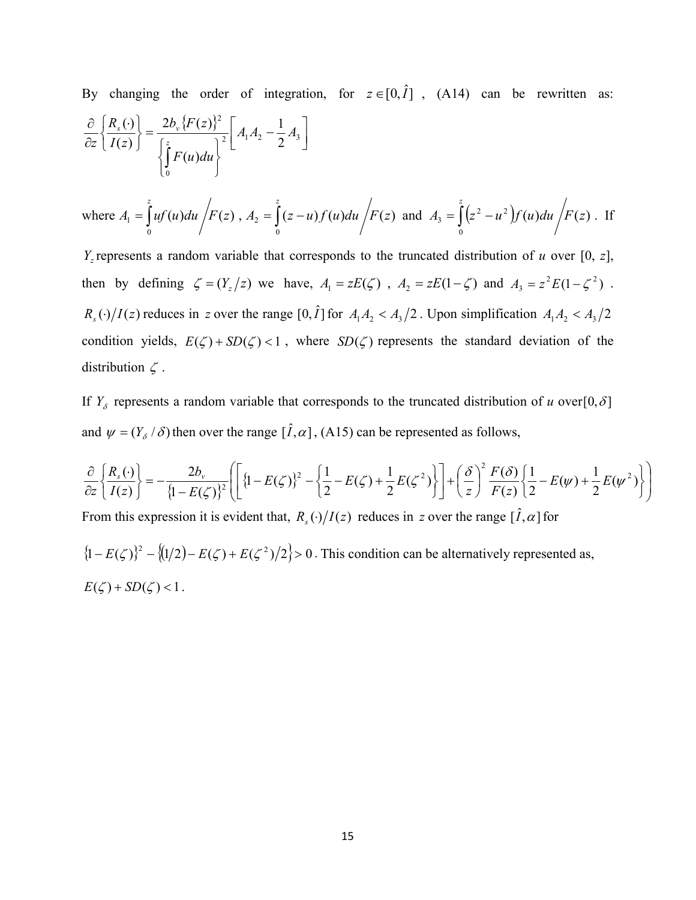By changing the order of integration, for  $z \in [0, \hat{I}]$ , (A14) can be rewritten as:  $\{F(z)\}\$  $\left[ A_1 A_2 - \frac{1}{2} A_3 \right]$  $\bigg| A_1 A_2 -$ J  $\left\{ \right.$  $\left| \right|$  $\overline{\mathcal{L}}$ ↑  $\begin{array}{c} \begin{array}{c} \end{array} \end{array}$  $=$  $\int$  $\left\{ \right\}$  $\mathbf{I}$  $\overline{\mathcal{L}}$ ↑  $R_{s}$  (  $\partial$  $\partial$ J 2  $1^{11/12}$   $2^{13}$ 0 2 2 1  $(u)$  $2b_{v}$  { $F(z)$  $(z)$  $\langle \cdot \rangle = \frac{2b_v \{ F(z) \}^2}{4} A_1 A_2 - \frac{1}{2} A$ *F u du*  $b_v$   $\{F(z$ *I z R*  $Z \mid I(z) \mid$   $[z]$  $s \cup \begin{pmatrix} 1 & \omega \\ 1 & \omega \end{pmatrix}$ 

where 
$$
A_1 = \int_0^z uf(u) du / F(z)
$$
,  $A_2 = \int_0^z (z-u) f(u) du / F(z)$  and  $A_3 = \int_0^z (z^2 - u^2) f(u) du / F(z)$ . If

*Yz* represents a random variable that corresponds to the truncated distribution of *u* over [0, *z*], then by defining  $\zeta = (Y_z/z)$  we have,  $A_1 = zE(\zeta)$ ,  $A_2 = zE(1-\zeta)$  and  $A_3 = z^2E(1-\zeta^2)$ .  $R_s(\cdot)/I(z)$  reduces in *z* over the range  $[0, \hat{I}]$  for  $A_1A_2 < A_3/2$ . Upon simplification  $A_1A_2 < A_3/2$ condition yields,  $E(\zeta) + SD(\zeta) < 1$ , where  $SD(\zeta)$  represents the standard deviation of the distribution  $\zeta$ .

If  $Y_{\delta}$  represents a random variable that corresponds to the truncated distribution of *u* over[0,  $\delta$ ] and  $\psi = (Y_{\delta}/\delta)$  then over the range  $[\hat{I}, \alpha]$ , (A15) can be represented as follows,

$$
\frac{\partial}{\partial z} \left\{ \frac{R_s(\cdot)}{I(z)} \right\} = -\frac{2b_v}{\left\{1 - E(\zeta)\right\}^2} \left[ \left\{ 1 - E(\zeta)\right\}^2 - \left\{ \frac{1}{2} - E(\zeta) + \frac{1}{2} E(\zeta^2) \right\} \right] + \left(\frac{\delta}{z}\right)^2 \frac{F(\delta)}{F(z)} \left\{ \frac{1}{2} - E(\psi) + \frac{1}{2} E(\psi^2) \right\} \right]
$$

From this expression it is evident that,  $R_s(\cdot)/I(z)$  reduces in *z* over the range  $[\hat{I}, \alpha]$  for

 $\{(1 - E(\zeta))^{2} - \{(1/2) - E(\zeta) + E(\zeta^{2})/2\} > 0$ . This condition can be alternatively represented as,  $E(\zeta) + SD(\zeta) < 1$ .